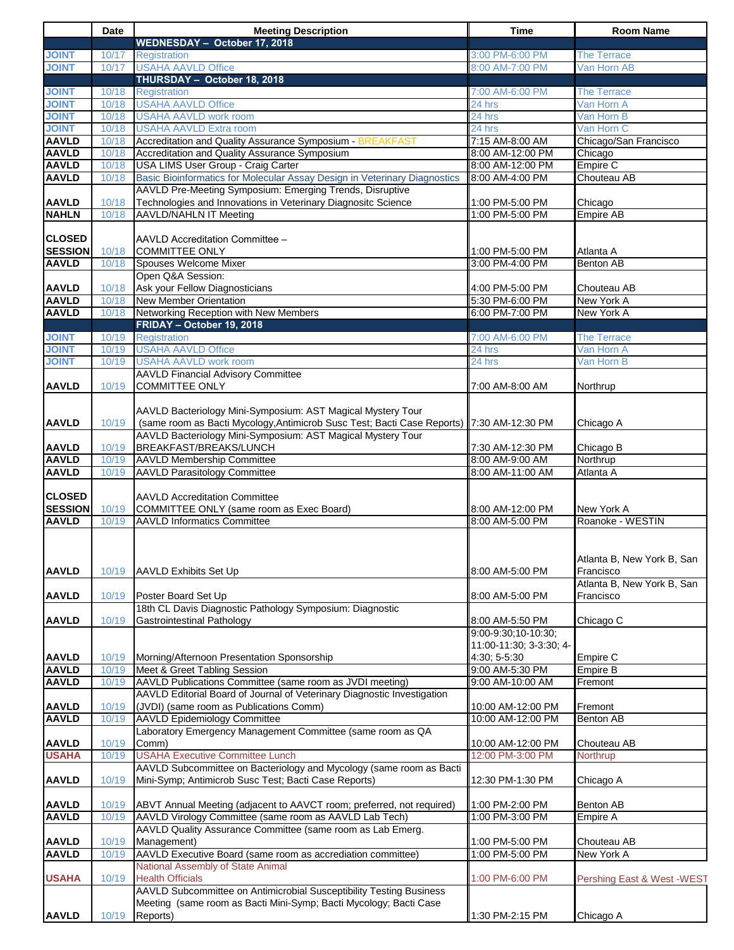|                              | Date           | <b>Meeting Description</b>                                                               | <b>Time</b>                                    | <b>Room Name</b>           |
|------------------------------|----------------|------------------------------------------------------------------------------------------|------------------------------------------------|----------------------------|
| <b>JOINT</b>                 | 10/17          | WEDNESDAY - October 17, 2018<br><b>Registration</b>                                      | 3:00 PM-6:00 PM                                | <b>The Terrace</b>         |
| <b>TNIOL</b>                 | 10/17          | <b>USAHA AAVLD Office</b>                                                                | 8:00 AM-7:00 PM                                | Van Horn AB                |
|                              |                | THURSDAY - October 18, 2018                                                              |                                                |                            |
| <b>JOINT</b>                 | 10/18          | Registration                                                                             | 7:00 AM-6:00 PM                                | <b>The Terrace</b>         |
| <b>JOINT</b>                 | 10/18          | <b>USAHA AAVLD Office</b>                                                                | 24 hrs                                         | Van Horn A                 |
| <b>JOINT</b>                 | 10/18          | <b>USAHA AAVLD work room</b>                                                             | 24 hrs                                         | Van Horn B                 |
| <b>JOINT</b>                 | 10/18          | <b>USAHA AAVLD Extra room</b>                                                            | 24 hrs                                         | Van Horn C                 |
| <b>AAVLD</b>                 | 10/18          | Accreditation and Quality Assurance Symposium BREAKFAST                                  | 7:15 AM-8:00 AM                                | Chicago/San Francisco      |
| <b>AAVLD</b>                 | 10/18          | Accreditation and Quality Assurance Symposium                                            | 8:00 AM-12:00 PM                               | Chicago                    |
| <b>AAVLD</b>                 | 10/18          | USA LIMS User Group - Craig Carter                                                       | 8:00 AM-12:00 PM                               | Empire C                   |
| <b>AAVLD</b>                 | 10/18          | Basic Bioinformatics for Molecular Assay Design in Veterinary Diagnostics                | 8:00 AM-4:00 PM                                | Chouteau AB                |
|                              |                | AAVLD Pre-Meeting Symposium: Emerging Trends, Disruptive                                 |                                                |                            |
| <b>AAVLD</b>                 | 10/18          | Technologies and Innovations in Veterinary Diagnositc Science                            | 1:00 PM-5:00 PM                                | Chicago                    |
| <b>NAHLN</b>                 | 10/18          | <b>AAVLD/NAHLN IT Meeting</b>                                                            | 1:00 PM-5:00 PM                                | <b>Empire AB</b>           |
|                              |                |                                                                                          |                                                |                            |
| <b>CLOSED</b>                |                | AAVLD Accreditation Committee -                                                          |                                                |                            |
| <b>SESSION</b>               | 10/18          | <b>COMMITTEE ONLY</b>                                                                    | 1:00 PM-5:00 PM                                | Atlanta A                  |
| <b>AAVLD</b>                 | 10/18          | Spouses Welcome Mixer                                                                    | 3:00 PM-4:00 PM                                | <b>Benton AB</b>           |
|                              |                | Open Q&A Session:                                                                        |                                                |                            |
| <b>AAVLD</b>                 | 10/18          | Ask your Fellow Diagnosticians                                                           | 4:00 PM-5:00 PM                                | Chouteau AB                |
| <b>AAVLD</b>                 | 10/18          | New Member Orientation                                                                   | 5:30 PM-6:00 PM                                | New York A                 |
| <b>AAVLD</b>                 | 10/18          | Networking Reception with New Members                                                    | 6:00 PM-7:00 PM                                | New York A                 |
|                              |                | FRIDAY - October 19, 2018                                                                |                                                |                            |
| <b>JOINT</b>                 | 10/19          | Registration                                                                             | 7:00 AM-6:00 PM                                | <b>The Terrace</b>         |
| <b>JOINT</b>                 | 10/19          | <b>USAHA AAVLD Office</b>                                                                | 24 hrs                                         | Van Horn A                 |
| <b>JOINT</b>                 | 10/19          | <b>USAHA AAVLD work room</b>                                                             | 24 hrs                                         | Van Horn B                 |
|                              |                | <b>AAVLD Financial Advisory Committee</b>                                                |                                                |                            |
| <b>AAVLD</b>                 | 10/19          | <b>COMMITTEE ONLY</b>                                                                    | 7:00 AM-8:00 AM                                | Northrup                   |
|                              |                |                                                                                          |                                                |                            |
|                              |                | AAVLD Bacteriology Mini-Symposium: AST Magical Mystery Tour                              |                                                |                            |
| <b>AAVLD</b>                 | 10/19          | (same room as Bacti Mycology, Antimicrob Susc Test; Bacti Case Reports) 7:30 AM-12:30 PM |                                                | Chicago A                  |
|                              |                | AAVLD Bacteriology Mini-Symposium: AST Magical Mystery Tour                              |                                                |                            |
| <b>AAVLD</b>                 | 10/19          | BREAKFAST/BREAKS/LUNCH                                                                   | 7:30 AM-12:30 PM                               | Chicago B                  |
| <b>AAVLD</b>                 | 10/19          | <b>AAVLD Membership Committee</b>                                                        | 8:00 AM-9:00 AM                                | Northrup                   |
| <b>AAVLD</b>                 | 10/19          | <b>AAVLD Parasitology Committee</b>                                                      | 8:00 AM-11:00 AM                               | Atlanta A                  |
|                              |                |                                                                                          |                                                |                            |
| <b>CLOSED</b>                |                | <b>AAVLD Accreditation Committee</b>                                                     |                                                |                            |
| <b>SESSION</b>               | 10/19          | COMMITTEE ONLY (same room as Exec Board)                                                 | 8:00 AM-12:00 PM                               | New York A                 |
| <b>AAVLD</b>                 | 10/19          | <b>AAVLD Informatics Committee</b>                                                       | 8:00 AM-5:00 PM                                | Roanoke - WESTIN           |
|                              |                |                                                                                          |                                                |                            |
|                              |                |                                                                                          |                                                |                            |
|                              |                |                                                                                          |                                                | Atlanta B, New York B, San |
| <b>AAVLD</b>                 | 10/19          | <b>AAVLD Exhibits Set Up</b>                                                             | 8:00 AM-5:00 PM                                | Francisco                  |
|                              |                |                                                                                          |                                                | Atlanta B, New York B, San |
| <b>AAVLD</b>                 | 10/19          | Poster Board Set Up                                                                      | 8:00 AM-5:00 PM                                | Francisco                  |
|                              |                | 18th CL Davis Diagnostic Pathology Symposium: Diagnostic                                 |                                                |                            |
| <b>AAVLD</b>                 | 10/19          | <b>Gastrointestinal Pathology</b>                                                        | 8:00 AM-5:50 PM                                | Chicago C                  |
|                              |                |                                                                                          | 9:00-9:30;10-10:30;<br>11:00-11:30; 3-3:30; 4- |                            |
|                              |                |                                                                                          |                                                |                            |
| <b>AAVLD</b><br><b>AAVLD</b> | 10/19<br>10/19 | Morning/Afternoon Presentation Sponsorship<br>Meet & Greet Tabling Session               | 4:30; 5-5:30<br>9:00 AM-5:30 PM                | Empire C<br>Empire B       |
| <b>AAVLD</b>                 | 10/19          | AAVLD Publications Committee (same room as JVDI meeting)                                 | 9:00 AM-10:00 AM                               | Fremont                    |
|                              |                | AAVLD Editorial Board of Journal of Veterinary Diagnostic Investigation                  |                                                |                            |
| <b>AAVLD</b>                 | 10/19          | (JVDI) (same room as Publications Comm)                                                  | 10:00 AM-12:00 PM                              | Fremont                    |
| <b>AAVLD</b>                 | 10/19          | <b>AAVLD Epidemiology Committee</b>                                                      | 10:00 AM-12:00 PM                              | <b>Benton AB</b>           |
|                              |                | Laboratory Emergency Management Committee (same room as QA                               |                                                |                            |
| <b>AAVLD</b>                 | 10/19          | Comm)                                                                                    | 10:00 AM-12:00 PM                              | Chouteau AB                |
| <b>USAHA</b>                 | 10/19          | <b>USAHA Executive Committee Lunch</b>                                                   | 12:00 PM-3:00 PM                               | Northrup                   |
|                              |                | AAVLD Subcommittee on Bacteriology and Mycology (same room as Bacti                      |                                                |                            |
| <b>AAVLD</b>                 | 10/19          | Mini-Symp; Antimicrob Susc Test; Bacti Case Reports)                                     | 12:30 PM-1:30 PM                               | Chicago A                  |
|                              |                |                                                                                          |                                                |                            |
| <b>AAVLD</b>                 | 10/19          | ABVT Annual Meeting (adjacent to AAVCT room; preferred, not required)                    | 1:00 PM-2:00 PM                                | Benton AB                  |
| <b>AAVLD</b>                 | 10/19          | AAVLD Virology Committee (same room as AAVLD Lab Tech)                                   | 1:00 PM-3:00 PM                                | Empire A                   |
|                              |                | AAVLD Quality Assurance Committee (same room as Lab Emerg.                               |                                                |                            |
| <b>AAVLD</b>                 | 10/19          | Management)                                                                              | 1:00 PM-5:00 PM                                | Chouteau AB                |
| <b>AAVLD</b>                 | 10/19          | AAVLD Executive Board (same room as accrediation committee)                              | 1:00 PM-5:00 PM                                | New York A                 |
|                              |                | National Assembly of State Animal                                                        |                                                |                            |
| <b>USAHA</b>                 | 10/19          | <b>Health Officials</b>                                                                  | 1:00 PM-6:00 PM                                | Pershing East & West -WEST |
|                              |                | AAVLD Subcommittee on Antimicrobial Susceptibility Testing Business                      |                                                |                            |
|                              |                | Meeting (same room as Bacti Mini-Symp; Bacti Mycology; Bacti Case                        |                                                |                            |
| <b>AAVLD</b>                 | 10/19          | Reports)                                                                                 | 1:30 PM-2:15 PM                                | Chicago A                  |
|                              |                |                                                                                          |                                                |                            |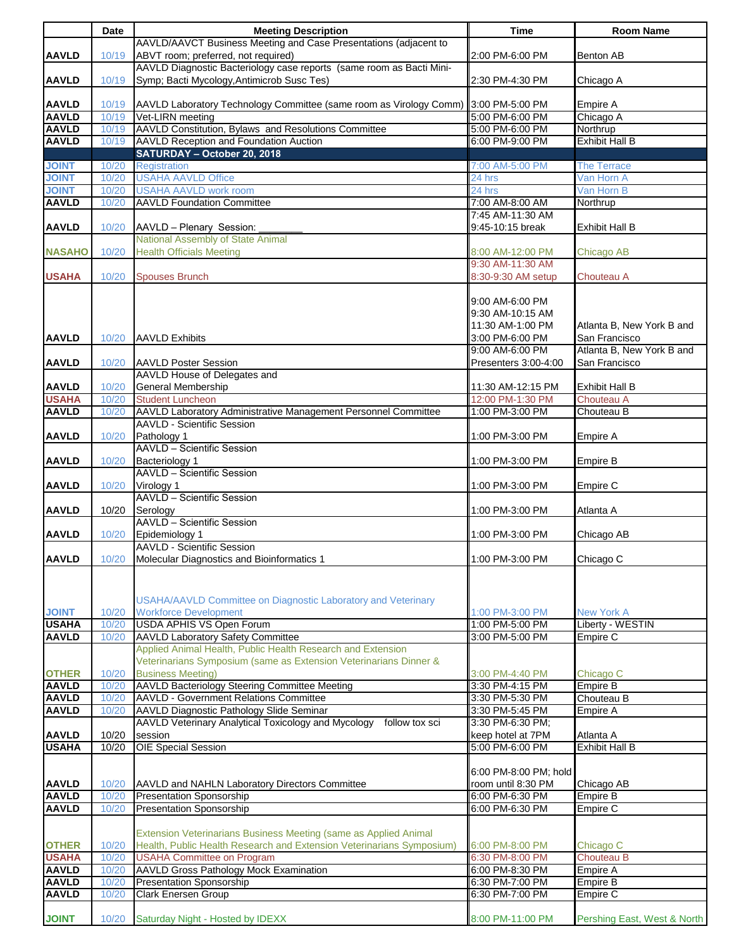|               | Date           | <b>Meeting Description</b>                                                       | <b>Time</b>                           | <b>Room Name</b>                  |
|---------------|----------------|----------------------------------------------------------------------------------|---------------------------------------|-----------------------------------|
|               |                | AAVLD/AAVCT Business Meeting and Case Presentations (adjacent to                 |                                       |                                   |
| <b>AAVLD</b>  | 10/19          | ABVT room; preferred, not required)                                              | 2:00 PM-6:00 PM                       | <b>Benton AB</b>                  |
|               |                | AAVLD Diagnostic Bacteriology case reports (same room as Bacti Mini-             |                                       |                                   |
| <b>AAVLD</b>  | 10/19          | Symp; Bacti Mycology, Antimicrob Susc Tes)                                       | 2:30 PM-4:30 PM                       | Chicago A                         |
|               |                |                                                                                  |                                       |                                   |
| <b>AAVLD</b>  | 10/19          | AAVLD Laboratory Technology Committee (same room as Virology Comm)               | 3:00 PM-5:00 PM                       | Empire A                          |
| <b>AAVLD</b>  | 10/19          | Vet-LIRN meeting                                                                 | 5:00 PM-6:00 PM                       | Chicago A                         |
| <b>AAVLD</b>  |                | AAVLD Constitution, Bylaws and Resolutions Committee                             |                                       |                                   |
| <b>AAVLD</b>  | 10/19<br>10/19 | <b>AAVLD Reception and Foundation Auction</b>                                    | 5:00 PM-6:00 PM<br>6:00 PM-9:00 PM    | Northrup<br><b>Exhibit Hall B</b> |
|               |                | SATURDAY - October 20, 2018                                                      |                                       |                                   |
|               |                |                                                                                  |                                       |                                   |
| <b>JOINT</b>  | 10/20          | Registration                                                                     | 7:00 AM-5:00 PM                       | <b>The Terrace</b>                |
| <b>JOINT</b>  | 10/20          | <b>USAHA AAVLD Office</b>                                                        | 24 hrs                                | Van Horn A                        |
| <b>JOINT</b>  | 10/20          | <b>USAHA AAVLD work room</b>                                                     | 24 hrs                                | Van Horn B                        |
| <b>AAVLD</b>  | 10/20          | <b>AAVLD Foundation Committee</b>                                                | 7:00 AM-8:00 AM                       | Northrup                          |
|               |                |                                                                                  | 7:45 AM-11:30 AM                      |                                   |
| <b>AAVLD</b>  | 10/20          | AAVLD - Plenary Session:                                                         | 9:45-10:15 break                      | <b>Exhibit Hall B</b>             |
|               |                | National Assembly of State Animal                                                |                                       |                                   |
| <b>NASAHO</b> | 10/20          | <b>Health Officials Meeting</b>                                                  | 8:00 AM-12:00 PM                      | Chicago AB                        |
|               |                |                                                                                  | 9:30 AM-11:30 AM                      |                                   |
| <b>USAHA</b>  | 10/20          | <b>Spouses Brunch</b>                                                            | 8:30-9:30 AM setup                    | Chouteau A                        |
|               |                |                                                                                  |                                       |                                   |
|               |                |                                                                                  | 9:00 AM-6:00 PM                       |                                   |
|               |                |                                                                                  | 9:30 AM-10:15 AM                      |                                   |
|               |                |                                                                                  | 11:30 AM-1:00 PM                      | Atlanta B, New York B and         |
| <b>AAVLD</b>  | 10/20          | <b>AAVLD Exhibits</b>                                                            | 3:00 PM-6:00 PM                       | San Francisco                     |
|               |                |                                                                                  | 9:00 AM-6:00 PM                       | Atlanta B, New York B and         |
| <b>AAVLD</b>  | 10/20          | <b>AAVLD Poster Session</b>                                                      | Presenters 3:00-4:00                  | San Francisco                     |
|               |                | AAVLD House of Delegates and                                                     |                                       |                                   |
| <b>AAVLD</b>  | 10/20          | General Membership                                                               | 11:30 AM-12:15 PM                     | <b>Exhibit Hall B</b>             |
| <b>USAHA</b>  | 10/20          | <b>Student Luncheon</b>                                                          | 12:00 PM-1:30 PM                      | Chouteau A                        |
| <b>AAVLD</b>  | 10/20          | AAVLD Laboratory Administrative Management Personnel Committee                   | 1:00 PM-3:00 PM                       | Chouteau B                        |
|               |                | <b>AAVLD - Scientific Session</b>                                                |                                       |                                   |
|               |                | Pathology 1                                                                      |                                       |                                   |
| <b>AAVLD</b>  | 10/20          | <b>AAVLD - Scientific Session</b>                                                | 1:00 PM-3:00 PM                       | Empire A                          |
|               |                |                                                                                  |                                       |                                   |
| <b>AAVLD</b>  | 10/20          | Bacteriology 1                                                                   | 1:00 PM-3:00 PM                       | Empire B                          |
|               |                | <b>AAVLD - Scientific Session</b>                                                |                                       |                                   |
| <b>AAVLD</b>  | 10/20          | Virology 1                                                                       | 1:00 PM-3:00 PM                       | Empire C                          |
|               |                | <b>AAVLD - Scientific Session</b>                                                |                                       |                                   |
| <b>AAVLD</b>  | 10/20          | Serology                                                                         | 1:00 PM-3:00 PM                       | Atlanta A                         |
|               |                | AAVLD - Scientific Session                                                       |                                       |                                   |
| <b>AAVLD</b>  | 10/20          | Epidemiology 1                                                                   | 1:00 PM-3:00 PM                       | Chicago AB                        |
|               |                | <b>AAVLD - Scientific Session</b>                                                |                                       |                                   |
| <b>AAVLD</b>  | 10/20          | Molecular Diagnostics and Bioinformatics 1                                       | 1:00 PM-3:00 PM                       | Chicago C                         |
|               |                |                                                                                  |                                       |                                   |
|               |                |                                                                                  |                                       |                                   |
|               |                | USAHA/AAVLD Committee on Diagnostic Laboratory and Veterinary                    |                                       |                                   |
| <b>JOINT</b>  | 10/20          | <b>Workforce Development</b>                                                     | 1:00 PM-3:00 PM                       | <b>New York A</b>                 |
| <b>USAHA</b>  | 10/20          | <b>USDA APHIS VS Open Forum</b>                                                  | 1:00 PM-5:00 PM                       | Liberty - WESTIN                  |
| <b>AAVLD</b>  | 10/20          | AAVLD Laboratory Safety Committee                                                | 3:00 PM-5:00 PM                       | Empire C                          |
|               |                | Applied Animal Health, Public Health Research and Extension                      |                                       |                                   |
|               |                | Veterinarians Symposium (same as Extension Veterinarians Dinner &                |                                       |                                   |
| <b>OTHER</b>  | 10/20          | <b>Business Meeting)</b>                                                         | 3:00 PM-4:40 PM                       | Chicago C                         |
| <b>AAVLD</b>  | 10/20          | AAVLD Bacteriology Steering Committee Meeting                                    | 3:30 PM-4:15 PM                       | Empire B                          |
| <b>AAVLD</b>  | 10/20          | <b>AAVLD - Government Relations Committee</b>                                    | 3:30 PM-5:30 PM                       | Chouteau B                        |
| <b>AAVLD</b>  | 10/20          | AAVLD Diagnostic Pathology Slide Seminar                                         | 3:30 PM-5:45 PM                       | Empire A                          |
|               |                |                                                                                  |                                       |                                   |
|               | 10/20          | AAVLD Veterinary Analytical Toxicology and Mycology<br>follow tox sci<br>session | 3:30 PM-6:30 PM;<br>keep hotel at 7PM | Atlanta A                         |
| <b>AAVLD</b>  |                |                                                                                  |                                       |                                   |
| <b>USAHA</b>  | 10/20          | <b>OIE Special Session</b>                                                       | 5:00 PM-6:00 PM                       | <b>Exhibit Hall B</b>             |
|               |                |                                                                                  |                                       |                                   |
|               |                |                                                                                  | 6:00 PM-8:00 PM; hold                 |                                   |
| <b>AAVLD</b>  | 10/20          | AAVLD and NAHLN Laboratory Directors Committee                                   | room until 8:30 PM                    | Chicago AB                        |
| <b>AAVLD</b>  | 10/20          | <b>Presentation Sponsorship</b>                                                  | 6:00 PM-6:30 PM                       | Empire B                          |
| <b>AAVLD</b>  | 10/20          | <b>Presentation Sponsorship</b>                                                  | 6:00 PM-6:30 PM                       | Empire C                          |
|               |                |                                                                                  |                                       |                                   |
|               |                | Extension Veterinarians Business Meeting (same as Applied Animal                 |                                       |                                   |
| <b>OTHER</b>  | 10/20          | Health, Public Health Research and Extension Veterinarians Symposium)            | 6:00 PM-8:00 PM                       | Chicago C                         |
| <b>USAHA</b>  | 10/20          | <b>USAHA Committee on Program</b>                                                | 6:30 PM-8:00 PM                       | Chouteau B                        |
| <b>AAVLD</b>  | 10/20          | <b>AAVLD Gross Pathology Mock Examination</b>                                    | 6:00 PM-8:30 PM                       | Empire A                          |
| <b>AAVLD</b>  | 10/20          | <b>Presentation Sponsorship</b>                                                  | 6:30 PM-7:00 PM                       | Empire B                          |
| <b>AAVLD</b>  | 10/20          | <b>Clark Enersen Group</b>                                                       | 6:30 PM-7:00 PM                       | Empire C                          |
|               |                |                                                                                  |                                       |                                   |
| <b>JOINT</b>  | 10/20          | Saturday Night - Hosted by IDEXX                                                 | 8:00 PM-11:00 PM                      | Pershing East, West & North       |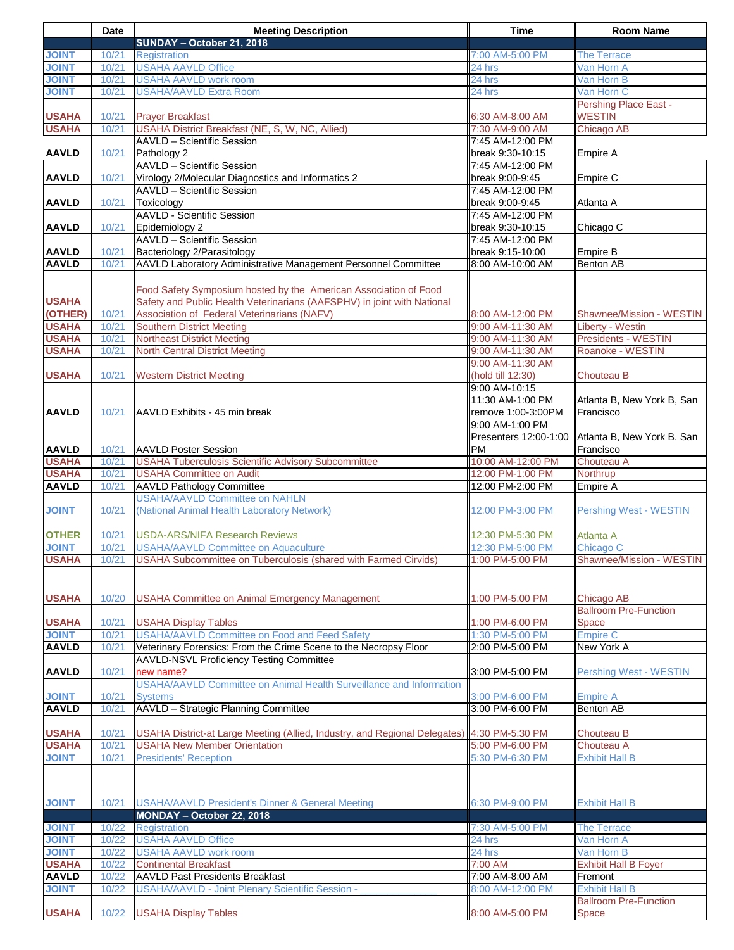|                              | <b>Date</b>    | <b>Meeting Description</b>                                                                                                                  | <b>Time</b>                          | <b>Room Name</b>                               |
|------------------------------|----------------|---------------------------------------------------------------------------------------------------------------------------------------------|--------------------------------------|------------------------------------------------|
|                              |                | SUNDAY - October 21, 2018                                                                                                                   |                                      |                                                |
| <b>TNIOL</b>                 | 10/21          | <b>Registration</b>                                                                                                                         | 7:00 AM-5:00 PM                      | <b>The Terrace</b>                             |
| <b>JOINT</b>                 | 10/21          | <b>USAHA AAVLD Office</b>                                                                                                                   | 24 hrs                               | Van Horn A                                     |
| <b>JOINT</b>                 | 10/21          | <b>USAHA AAVLD work room</b>                                                                                                                | 24 hrs                               | Van Horn B                                     |
| <b>JOINT</b>                 | 10/21          | <b>USAHA/AAVLD Extra Room</b>                                                                                                               | 24 hrs                               | Van Horn C                                     |
|                              |                |                                                                                                                                             |                                      | <b>Pershing Place East -</b>                   |
| <b>USAHA</b>                 | 10/21          | <b>Prayer Breakfast</b>                                                                                                                     | 6:30 AM-8:00 AM                      | <b>WESTIN</b>                                  |
| <b>USAHA</b>                 | 10/21          | USAHA District Breakfast (NE, S, W, NC, Allied)                                                                                             | 7:30 AM-9:00 AM                      | Chicago AB                                     |
|                              |                | <b>AAVLD - Scientific Session</b>                                                                                                           | 7:45 AM-12:00 PM                     |                                                |
| <b>AAVLD</b>                 | 10/21          | Pathology 2                                                                                                                                 | break 9:30-10:15                     | Empire A                                       |
|                              |                | AAVLD - Scientific Session                                                                                                                  | 7:45 AM-12:00 PM                     |                                                |
| <b>AAVLD</b>                 | 10/21          | Virology 2/Molecular Diagnostics and Informatics 2<br><b>AAVLD - Scientific Session</b>                                                     | break 9:00-9:45<br>7:45 AM-12:00 PM  | Empire C                                       |
|                              |                | Toxicology                                                                                                                                  |                                      |                                                |
| <b>AAVLD</b>                 | 10/21          | <b>AAVLD - Scientific Session</b>                                                                                                           | break 9:00-9:45<br>7:45 AM-12:00 PM  | Atlanta A                                      |
| <b>AAVLD</b>                 | 10/21          | Epidemiology 2                                                                                                                              | break 9:30-10:15                     |                                                |
|                              |                | <b>AAVLD - Scientific Session</b>                                                                                                           | 7:45 AM-12:00 PM                     | Chicago C                                      |
| <b>AAVLD</b>                 | 10/21          | Bacteriology 2/Parasitology                                                                                                                 | break 9:15-10:00                     | <b>Empire B</b>                                |
| <b>AAVLD</b>                 | 10/21          | AAVLD Laboratory Administrative Management Personnel Committee                                                                              | 8:00 AM-10:00 AM                     | Benton AB                                      |
|                              |                |                                                                                                                                             |                                      |                                                |
|                              |                |                                                                                                                                             |                                      |                                                |
| <b>USAHA</b>                 |                | Food Safety Symposium hosted by the American Association of Food<br>Safety and Public Health Veterinarians (AAFSPHV) in joint with National |                                      |                                                |
|                              |                | Association of Federal Veterinarians (NAFV)                                                                                                 |                                      | Shawnee/Mission - WESTIN                       |
| (OTHER)                      | 10/21          | <b>Southern District Meeting</b>                                                                                                            | 8:00 AM-12:00 PM                     |                                                |
| <b>USAHA</b><br><b>USAHA</b> | 10/21<br>10/21 | <b>Northeast District Meeting</b>                                                                                                           | 9:00 AM-11:30 AM<br>9:00 AM-11:30 AM | Liberty - Westin<br><b>Presidents - WESTIN</b> |
| <b>USAHA</b>                 | 10/21          | <b>North Central District Meeting</b>                                                                                                       | 9:00 AM-11:30 AM                     | Roanoke - WESTIN                               |
|                              |                |                                                                                                                                             | 9:00 AM-11:30 AM                     |                                                |
| <b>USAHA</b>                 | 10/21          | <b>Western District Meeting</b>                                                                                                             | (hold till 12:30)                    | Chouteau B                                     |
|                              |                |                                                                                                                                             | 9:00 AM-10:15                        |                                                |
|                              |                |                                                                                                                                             | 11:30 AM-1:00 PM                     | Atlanta B, New York B, San                     |
| <b>AAVLD</b>                 | 10/21          | AAVLD Exhibits - 45 min break                                                                                                               | remove 1:00-3:00PM                   | Francisco                                      |
|                              |                |                                                                                                                                             | 9:00 AM-1:00 PM                      |                                                |
|                              |                |                                                                                                                                             | Presenters 12:00-1:00                | Atlanta B, New York B, San                     |
| <b>AAVLD</b>                 | 10/21          | <b>AAVLD Poster Session</b>                                                                                                                 | <b>PM</b>                            | Francisco                                      |
| <b>USAHA</b>                 | 10/21          | <b>USAHA Tuberculosis Scientific Advisory Subcommittee</b>                                                                                  | 10:00 AM-12:00 PM                    | Chouteau A                                     |
| <b>USAHA</b>                 | 10/21          | <b>USAHA Committee on Audit</b>                                                                                                             | 12:00 PM-1:00 PM                     | Northrup                                       |
| <b>AAVLD</b>                 | 10/21          | <b>AAVLD Pathology Committee</b>                                                                                                            | 12:00 PM-2:00 PM                     | Empire A                                       |
|                              |                |                                                                                                                                             |                                      |                                                |
|                              |                | <b>USAHA/AAVLD Committee on NAHLN</b>                                                                                                       |                                      |                                                |
| <b>JOINT</b>                 | 10/21          | (National Animal Health Laboratory Network)                                                                                                 | 12:00 PM-3:00 PM                     | <b>Pershing West - WESTIN</b>                  |
|                              |                |                                                                                                                                             |                                      |                                                |
| <b>OTHER</b>                 | 10/21          | <b>USDA-ARS/NIFA Research Reviews</b>                                                                                                       | 12:30 PM-5:30 PM                     | Atlanta A                                      |
| <b>JOINT</b>                 | 10/21          | <b>USAHA/AAVLD Committee on Aquaculture</b>                                                                                                 | 12:30 PM-5:00 PM                     | Chicago C                                      |
| <b>USAHA</b>                 |                | 10/21 USAHA Subcommittee on Tuberculosis (shared with Farmed Cirvids)                                                                       | 1:00 PM-5:00 PM                      | Shawnee/Mission - WESTIN                       |
|                              |                |                                                                                                                                             |                                      |                                                |
|                              |                |                                                                                                                                             |                                      |                                                |
| <b>USAHA</b>                 | 10/20          | <b>USAHA Committee on Animal Emergency Management</b>                                                                                       | 1:00 PM-5:00 PM                      | Chicago AB                                     |
|                              |                |                                                                                                                                             |                                      | <b>Ballroom Pre-Function</b>                   |
| <b>USAHA</b>                 | 10/21          | <b>USAHA Display Tables</b>                                                                                                                 | 1:00 PM-6:00 PM                      | Space                                          |
| <b>JOINT</b>                 | 10/21          | USAHA/AAVLD Committee on Food and Feed Safety                                                                                               | 1:30 PM-5:00 PM                      | <b>Empire C</b>                                |
| <b>AAVLD</b>                 | 10/21          | Veterinary Forensics: From the Crime Scene to the Necropsy Floor                                                                            | 2:00 PM-5:00 PM                      | New York A                                     |
|                              |                | <b>AAVLD-NSVL Proficiency Testing Committee</b>                                                                                             |                                      |                                                |
| <b>AAVLD</b>                 | 10/21          | new name?                                                                                                                                   | 3:00 PM-5:00 PM                      | <b>Pershing West - WESTIN</b>                  |
|                              |                | USAHA/AAVLD Committee on Animal Health Surveillance and Information                                                                         |                                      |                                                |
| <b>JOINT</b>                 | 10/21          | <b>Systems</b>                                                                                                                              | 3:00 PM-6:00 PM                      | Empire A                                       |
| <b>AAVLD</b>                 | 10/21          | AAVLD - Strategic Planning Committee                                                                                                        | 3:00 PM-6:00 PM                      | Benton AB                                      |
|                              |                |                                                                                                                                             |                                      |                                                |
| <b>USAHA</b>                 | 10/21          | USAHA District-at Large Meeting (Allied, Industry, and Regional Delegates) 4:30 PM-5:30 PM                                                  |                                      | Chouteau B                                     |
| <b>USAHA</b>                 | 10/21          | <b>USAHA New Member Orientation</b>                                                                                                         | 5:00 PM-6:00 PM                      | Chouteau A                                     |
| <b>JOINT</b>                 | 10/21          | <b>Presidents' Reception</b>                                                                                                                | 5:30 PM-6:30 PM                      | <b>Exhibit Hall B</b>                          |
|                              |                |                                                                                                                                             |                                      |                                                |
|                              |                |                                                                                                                                             |                                      |                                                |
|                              | 10/21          |                                                                                                                                             | 6:30 PM-9:00 PM                      | <b>Exhibit Hall B</b>                          |
| <b>JOINT</b>                 |                | <b>USAHA/AAVLD President's Dinner &amp; General Meeting</b>                                                                                 |                                      |                                                |
| <b>JOINT</b>                 | 10/22          | MONDAY - October 22, 2018<br>Registration                                                                                                   | 7:30 AM-5:00 PM                      | <b>The Terrace</b>                             |
| <b>JOINT</b>                 | 10/22          | <b>USAHA AAVLD Office</b>                                                                                                                   | 24 hrs                               | Van Horn A                                     |
| <b>JOINT</b>                 | 10/22          | <b>USAHA AAVLD work room</b>                                                                                                                |                                      | Van Horn B                                     |
| <b>USAHA</b>                 | 10/22          | <b>Continental Breakfast</b>                                                                                                                | 24 hrs<br>7:00 AM                    | <b>Exhibit Hall B Foyer</b>                    |
| <b>AAVLD</b>                 | 10/22          | <b>AAVLD Past Presidents Breakfast</b>                                                                                                      | 7:00 AM-8:00 AM                      | Fremont                                        |
| <b>JOINT</b>                 | 10/22          | <b>USAHA/AAVLD - Joint Plenary Scientific Session -</b>                                                                                     | 8:00 AM-12:00 PM                     | <b>Exhibit Hall B</b>                          |
|                              |                |                                                                                                                                             |                                      | <b>Ballroom Pre-Function</b>                   |

**T**